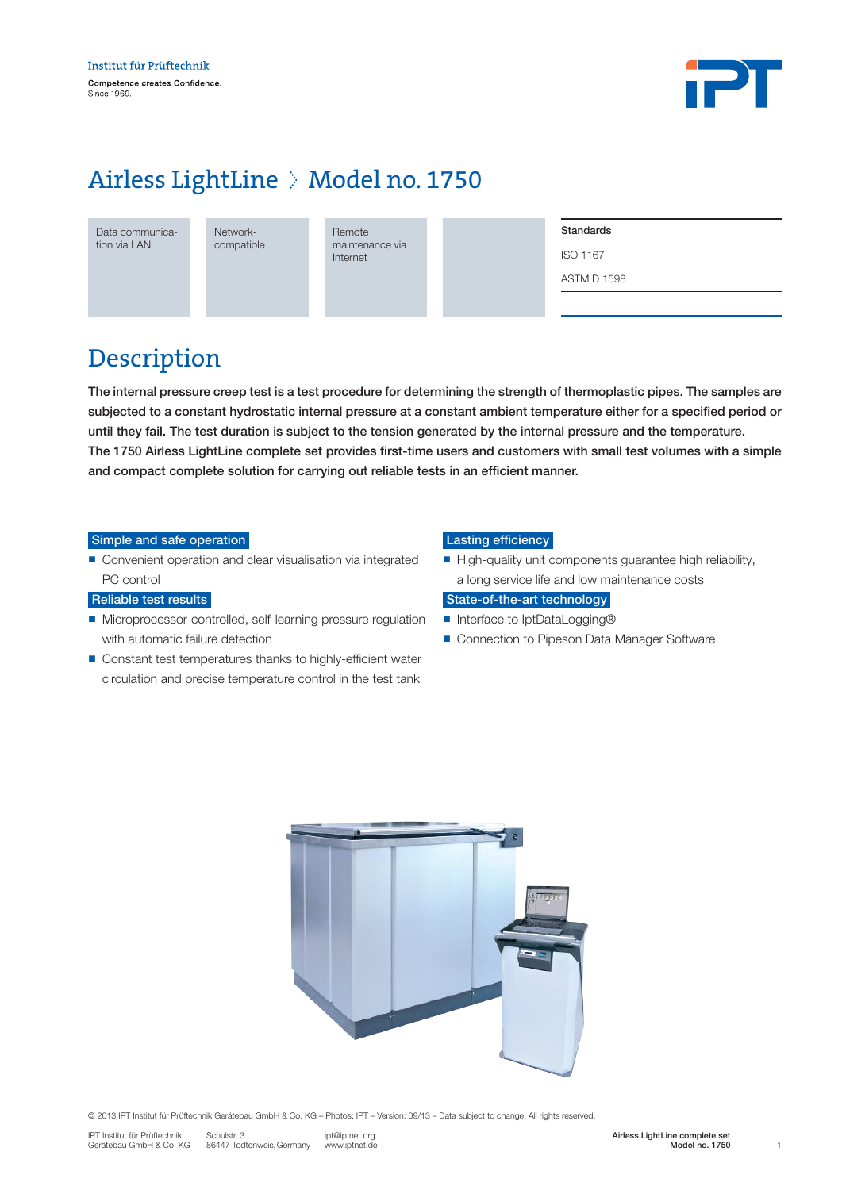

# Airless LightLine > Model no. 1750

Data communication via LAN

Networkcompatible **Remote** maintenance via Internet

| <b>Standards</b>   |  |  |
|--------------------|--|--|
| <b>ISO 1167</b>    |  |  |
| <b>ASTM D 1598</b> |  |  |
|                    |  |  |

### Description

The internal pressure creep test is a test procedure for determining the strength of thermoplastic pipes. The samples are subjected to a constant hydrostatic internal pressure at a constant ambient temperature either for a specified period or until they fail. The test duration is subject to the tension generated by the internal pressure and the temperature. The 1750 Airless LightLine complete set provides first-time users and customers with small test volumes with a simple and compact complete solution for carrying out reliable tests in an efficient manner.

#### Simple and safe operation

■ Convenient operation and clear visualisation via integrated PC control

#### Reliable test results

- Microprocessor-controlled, self-learning pressure regulation with automatic failure detection
- Constant test temperatures thanks to highly-efficient water circulation and precise temperature control in the test tank

#### Lasting efficiency

 $\blacksquare$  High-quality unit components guarantee high reliability, a long service life and low maintenance costs

### State-of-the-art technology

- Interface to IptDataLogging®
- Connection to Pipeson Data Manager Software

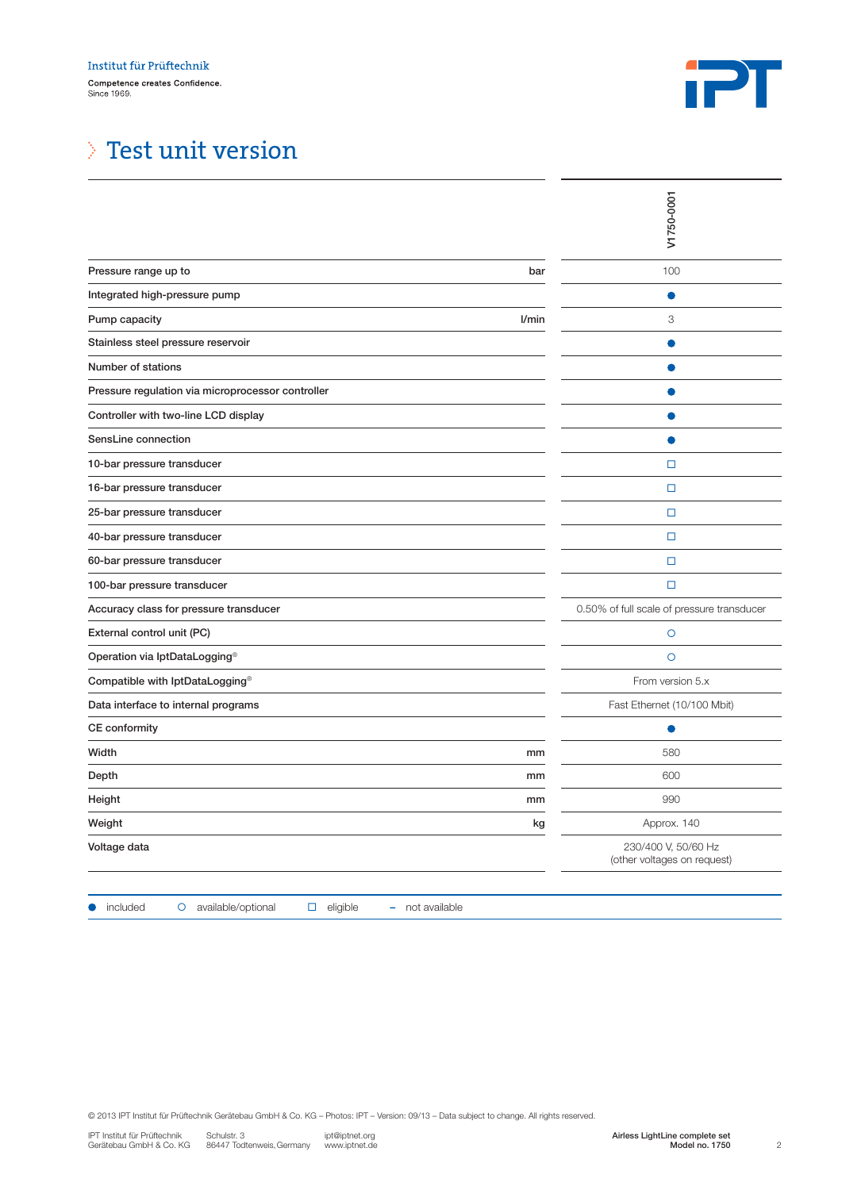

# Test unit version

|                                                                                                                                                                                                                                                                                     | V1750-0001                                                         |
|-------------------------------------------------------------------------------------------------------------------------------------------------------------------------------------------------------------------------------------------------------------------------------------|--------------------------------------------------------------------|
| Pressure range up to<br>bar                                                                                                                                                                                                                                                         | 100                                                                |
| Integrated high-pressure pump                                                                                                                                                                                                                                                       |                                                                    |
| Pump capacity<br>l/min                                                                                                                                                                                                                                                              | 3                                                                  |
| Stainless steel pressure reservoir                                                                                                                                                                                                                                                  |                                                                    |
| Number of stations                                                                                                                                                                                                                                                                  |                                                                    |
| Pressure regulation via microprocessor controller                                                                                                                                                                                                                                   |                                                                    |
| Controller with two-line LCD display                                                                                                                                                                                                                                                |                                                                    |
| SensLine connection                                                                                                                                                                                                                                                                 |                                                                    |
| 10-bar pressure transducer                                                                                                                                                                                                                                                          | $\Box$                                                             |
| 16-bar pressure transducer                                                                                                                                                                                                                                                          | $\Box$                                                             |
| 25-bar pressure transducer                                                                                                                                                                                                                                                          | $\Box$                                                             |
| 40-bar pressure transducer                                                                                                                                                                                                                                                          | $\Box$                                                             |
| 60-bar pressure transducer                                                                                                                                                                                                                                                          | □                                                                  |
| 100-bar pressure transducer                                                                                                                                                                                                                                                         | $\Box$                                                             |
| Accuracy class for pressure transducer                                                                                                                                                                                                                                              | 0.50% of full scale of pressure transducer                         |
| External control unit (PC)                                                                                                                                                                                                                                                          | $\circ$                                                            |
| Operation via IptDataLogging®                                                                                                                                                                                                                                                       | $\circ$                                                            |
| Compatible with IptDataLogging®                                                                                                                                                                                                                                                     | From version 5.x                                                   |
| Data interface to internal programs                                                                                                                                                                                                                                                 | Fast Ethernet (10/100 Mbit)                                        |
| CE conformity                                                                                                                                                                                                                                                                       |                                                                    |
| Width<br>mm                                                                                                                                                                                                                                                                         | 580                                                                |
| Depth<br>mm                                                                                                                                                                                                                                                                         | 600                                                                |
| Height<br>mm                                                                                                                                                                                                                                                                        | 990                                                                |
| Weight<br>kg                                                                                                                                                                                                                                                                        | Approx. 140                                                        |
| Voltage data                                                                                                                                                                                                                                                                        | 230/400 V, 50/60 Hz<br>(other voltages on request)                 |
| available/optional<br>included<br>$\Box$ eligible<br>- not available<br>$\circ$                                                                                                                                                                                                     |                                                                    |
| @ 2013 IPT Institut für Prüftechnik Gerätebau GmbH & Co. KG - Photos: IPT - Version: 09/13 - Data subject to change. All rights reserved.<br>IPT Institut für Prüftechnik<br>Schulstr. 3<br>ipt@iptnet.org<br>Gerätebau GmbH & Co. KG<br>86447 Todtenweis, Germany<br>www.iptnet.de | Airless LightLine complete set<br>Model no. 1750<br>$\overline{c}$ |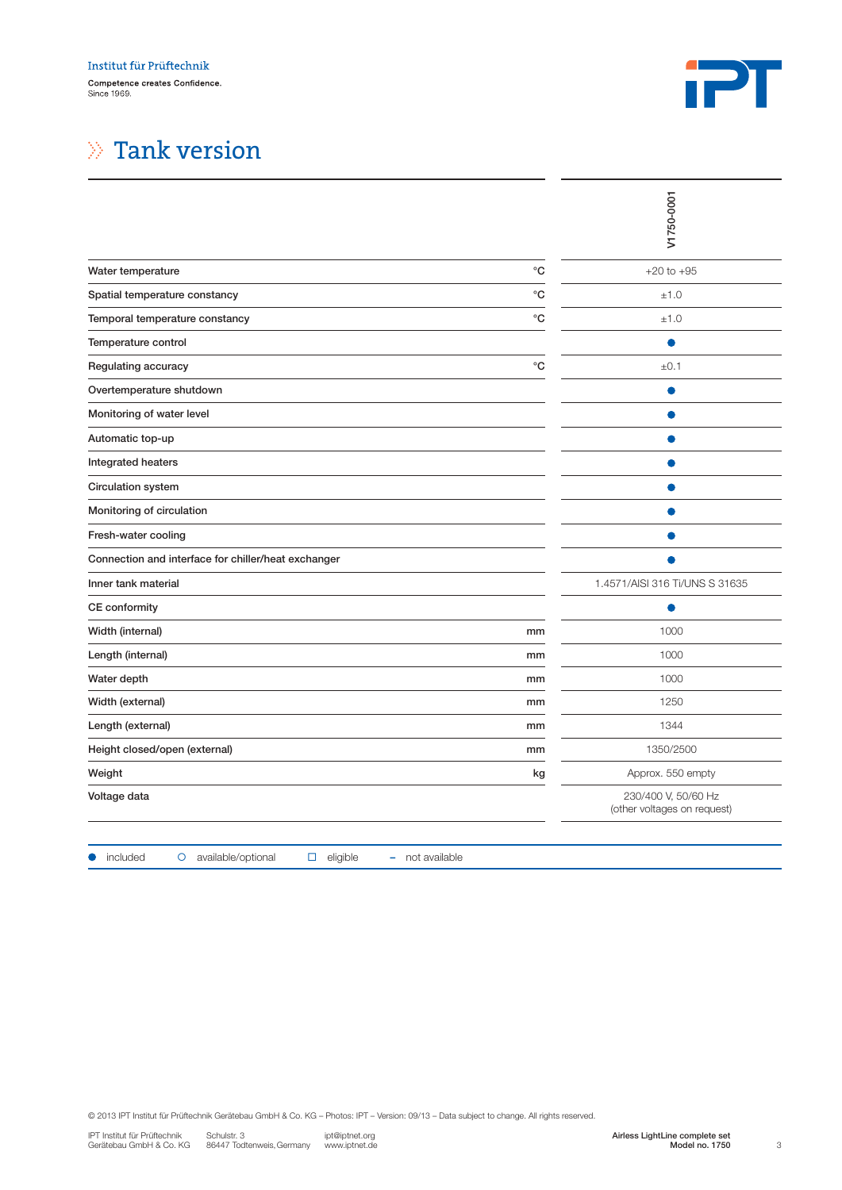

# $\gg$  Tank version

| $^{\circ}{\rm C}$<br>$+20$ to $+95$<br>$^{\circ}{\rm C}$<br>±1.0<br>$^{\circ}$ C<br>±1.0<br>$^{\circ}{\rm C}$<br>±0.1<br>Ο<br>O<br>1.4571/AISI 316 Ti/UNS S 31635<br>1000<br>mm<br>1000<br>mm<br>1000<br>mm<br>1250<br>mm<br>1344<br>mm<br>1350/2500<br>mm<br>Approx. 550 empty<br>kg<br>230/400 V, 50/60 Hz<br>(other voltages on request)<br>available/optional<br>$\Box$ eligible<br>- not available<br>included<br>$\circ$<br>@ 2013 IPT Institut für Prüftechnik Gerätebau GmbH & Co. KG - Photos: IPT - Version: 09/13 - Data subject to change. All rights reserved.<br>Schulstr. 3<br>ipt@iptnet.org<br>Airless LightLine complete set |                                                         | V1750-0001 |
|------------------------------------------------------------------------------------------------------------------------------------------------------------------------------------------------------------------------------------------------------------------------------------------------------------------------------------------------------------------------------------------------------------------------------------------------------------------------------------------------------------------------------------------------------------------------------------------------------------------------------------------------|---------------------------------------------------------|------------|
|                                                                                                                                                                                                                                                                                                                                                                                                                                                                                                                                                                                                                                                | Water temperature                                       |            |
|                                                                                                                                                                                                                                                                                                                                                                                                                                                                                                                                                                                                                                                | Spatial temperature constancy                           |            |
|                                                                                                                                                                                                                                                                                                                                                                                                                                                                                                                                                                                                                                                | Temporal temperature constancy                          |            |
|                                                                                                                                                                                                                                                                                                                                                                                                                                                                                                                                                                                                                                                | Temperature control                                     |            |
|                                                                                                                                                                                                                                                                                                                                                                                                                                                                                                                                                                                                                                                | Regulating accuracy                                     |            |
|                                                                                                                                                                                                                                                                                                                                                                                                                                                                                                                                                                                                                                                | Overtemperature shutdown                                |            |
|                                                                                                                                                                                                                                                                                                                                                                                                                                                                                                                                                                                                                                                | Monitoring of water level                               |            |
|                                                                                                                                                                                                                                                                                                                                                                                                                                                                                                                                                                                                                                                | Automatic top-up                                        |            |
|                                                                                                                                                                                                                                                                                                                                                                                                                                                                                                                                                                                                                                                | Integrated heaters                                      |            |
|                                                                                                                                                                                                                                                                                                                                                                                                                                                                                                                                                                                                                                                | Circulation system                                      |            |
|                                                                                                                                                                                                                                                                                                                                                                                                                                                                                                                                                                                                                                                | Monitoring of circulation                               |            |
|                                                                                                                                                                                                                                                                                                                                                                                                                                                                                                                                                                                                                                                | Fresh-water cooling                                     |            |
|                                                                                                                                                                                                                                                                                                                                                                                                                                                                                                                                                                                                                                                | Connection and interface for chiller/heat exchanger     |            |
|                                                                                                                                                                                                                                                                                                                                                                                                                                                                                                                                                                                                                                                | Inner tank material                                     |            |
|                                                                                                                                                                                                                                                                                                                                                                                                                                                                                                                                                                                                                                                | CE conformity                                           |            |
|                                                                                                                                                                                                                                                                                                                                                                                                                                                                                                                                                                                                                                                | Width (internal)                                        |            |
|                                                                                                                                                                                                                                                                                                                                                                                                                                                                                                                                                                                                                                                | Length (internal)                                       |            |
|                                                                                                                                                                                                                                                                                                                                                                                                                                                                                                                                                                                                                                                | Water depth                                             |            |
|                                                                                                                                                                                                                                                                                                                                                                                                                                                                                                                                                                                                                                                | Width (external)                                        |            |
|                                                                                                                                                                                                                                                                                                                                                                                                                                                                                                                                                                                                                                                | Length (external)                                       |            |
|                                                                                                                                                                                                                                                                                                                                                                                                                                                                                                                                                                                                                                                | Height closed/open (external)                           |            |
|                                                                                                                                                                                                                                                                                                                                                                                                                                                                                                                                                                                                                                                | Weight                                                  |            |
|                                                                                                                                                                                                                                                                                                                                                                                                                                                                                                                                                                                                                                                | Voltage data                                            |            |
|                                                                                                                                                                                                                                                                                                                                                                                                                                                                                                                                                                                                                                                |                                                         |            |
| www.iptnet.de<br>Model no. 1750<br>86447 Todtenweis, Germany                                                                                                                                                                                                                                                                                                                                                                                                                                                                                                                                                                                   | IPT Institut für Prüftechnik<br>Gerätebau GmbH & Co. KG | 3          |